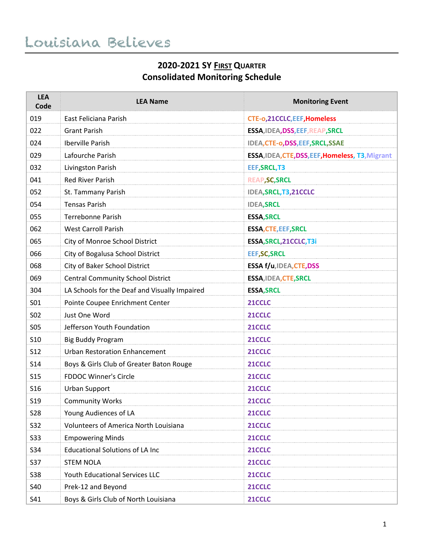## **2020-2021 SY FIRST QUARTER Consolidated Monitoring Schedule**

| <b>LEA</b><br>Code | <b>LEA Name</b>                               | <b>Monitoring Event</b>                          |
|--------------------|-----------------------------------------------|--------------------------------------------------|
| 019                | East Feliciana Parish                         | <b>CTE-o,21CCLC,EEF,Homeless</b>                 |
| 022                | <b>Grant Parish</b>                           | ESSA, IDEA, DSS, EEF, REAP, SRCL                 |
| 024                | Iberville Parish                              | IDEA, CTE-o, DSS, EEF, SRCL, SSAE                |
| 029                | Lafourche Parish                              | ESSA, IDEA, CTE, DSS, EEF, Homeless, T3, Migrant |
| 032                | Livingston Parish                             | EEF, SRCL, T3                                    |
| 041                | <b>Red River Parish</b>                       | <b>REAP, SC, SRCL</b>                            |
| 052                | St. Tammany Parish                            | IDEA, SRCL, T3, 21CCLC                           |
| 054                | <b>Tensas Parish</b>                          | <b>IDEA, SRCL</b>                                |
| 055                | <b>Terrebonne Parish</b>                      | <b>ESSA, SRCL</b>                                |
| 062                | <b>West Carroll Parish</b>                    | <b>ESSA, CTE, EEF, SRCL</b>                      |
| 065                | City of Monroe School District                | ESSA, SRCL, 21CCLC, T3i                          |
| 066                | City of Bogalusa School District              | <b>EEF, SC, SRCL</b>                             |
| 068                | City of Baker School District                 | ESSA f/u,IDEA, CTE, DSS                          |
| 069                | <b>Central Community School District</b>      | ESSA, IDEA, CTE, SRCL                            |
| 304                | LA Schools for the Deaf and Visually Impaired | <b>ESSA, SRCL</b>                                |
| <b>SO1</b>         | Pointe Coupee Enrichment Center               | 21CCLC                                           |
| <b>SO2</b>         | Just One Word                                 | 21CCLC                                           |
| <b>SO5</b>         | Jefferson Youth Foundation                    | 21CCLC                                           |
| <b>S10</b>         | <b>Big Buddy Program</b>                      | 21CCLC                                           |
| <b>S12</b>         | <b>Urban Restoration Enhancement</b>          | 21CCLC                                           |
| <b>S14</b>         | Boys & Girls Club of Greater Baton Rouge      | 21CCLC                                           |
| <b>S15</b>         | <b>FDDOC Winner's Circle</b>                  | 21CCLC                                           |
| S <sub>16</sub>    | <b>Urban Support</b>                          | 21CCLC                                           |
| S <sub>19</sub>    | <b>Community Works</b>                        | 21CCLC                                           |
| <b>S28</b>         | Young Audiences of LA                         | 21CCLC                                           |
| S32                | Volunteers of America North Louisiana         | 21CCLC                                           |
| <b>S33</b>         | <b>Empowering Minds</b>                       | 21CCLC                                           |
| <b>S34</b>         | <b>Educational Solutions of LA Inc</b>        | 21CCLC                                           |
| <b>S37</b>         | <b>STEM NOLA</b>                              | 21CCLC                                           |
| <b>S38</b>         | Youth Educational Services LLC                | 21CCLC                                           |
| <b>S40</b>         | Prek-12 and Beyond                            | 21CCLC                                           |
| S41                | Boys & Girls Club of North Louisiana          | 21CCLC                                           |